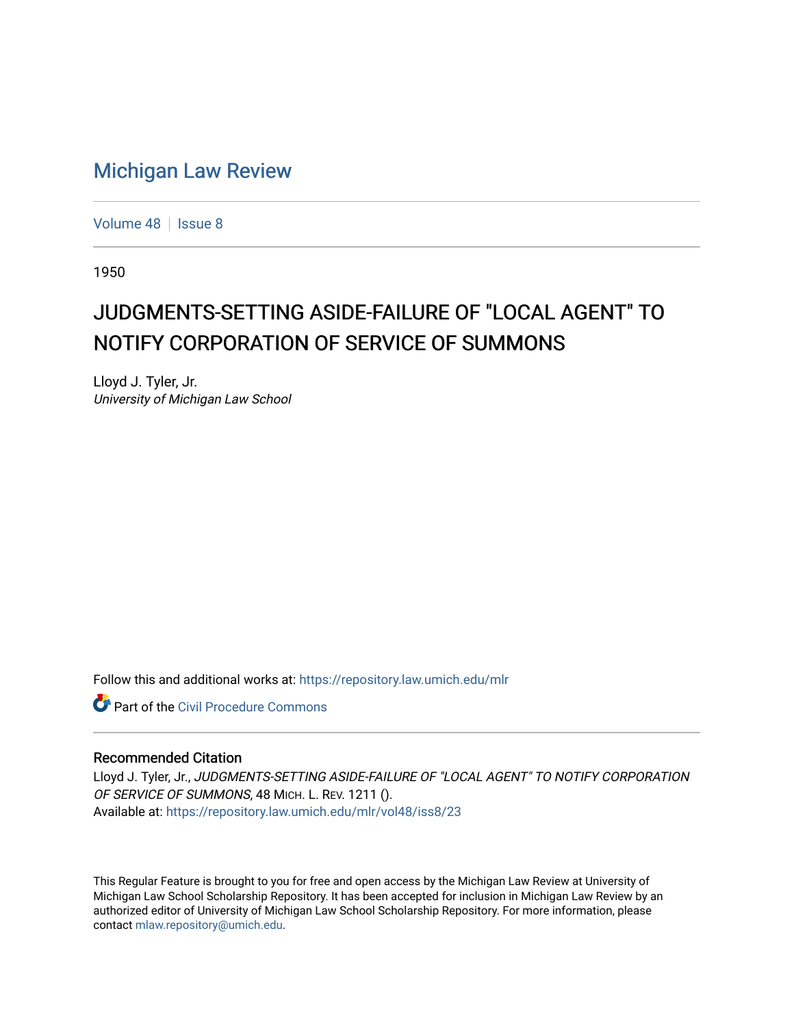## [Michigan Law Review](https://repository.law.umich.edu/mlr)

[Volume 48](https://repository.law.umich.edu/mlr/vol48) | [Issue 8](https://repository.law.umich.edu/mlr/vol48/iss8)

1950

## JUDGMENTS-SETTING ASIDE-FAILURE OF "LOCAL AGENT" TO NOTIFY CORPORATION OF SERVICE OF SUMMONS

Lloyd J. Tyler, Jr. University of Michigan Law School

Follow this and additional works at: [https://repository.law.umich.edu/mlr](https://repository.law.umich.edu/mlr?utm_source=repository.law.umich.edu%2Fmlr%2Fvol48%2Fiss8%2F23&utm_medium=PDF&utm_campaign=PDFCoverPages) 

**Part of the Civil Procedure Commons** 

## Recommended Citation

Lloyd J. Tyler, Jr., JUDGMENTS-SETTING ASIDE-FAILURE OF "LOCAL AGENT" TO NOTIFY CORPORATION OF SERVICE OF SUMMONS, 48 MICH. L. REV. 1211 (). Available at: [https://repository.law.umich.edu/mlr/vol48/iss8/23](https://repository.law.umich.edu/mlr/vol48/iss8/23?utm_source=repository.law.umich.edu%2Fmlr%2Fvol48%2Fiss8%2F23&utm_medium=PDF&utm_campaign=PDFCoverPages) 

This Regular Feature is brought to you for free and open access by the Michigan Law Review at University of Michigan Law School Scholarship Repository. It has been accepted for inclusion in Michigan Law Review by an authorized editor of University of Michigan Law School Scholarship Repository. For more information, please contact [mlaw.repository@umich.edu](mailto:mlaw.repository@umich.edu).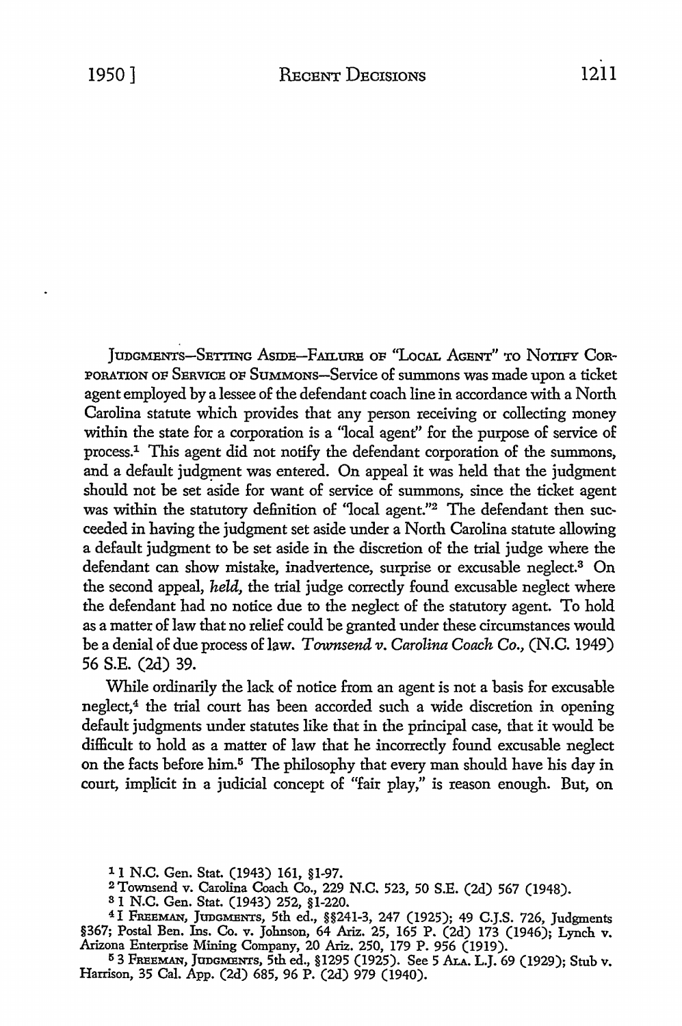IUDGMENTS-SETTING ASIDE-FAILURE OF "LOCAL AGENT" TO NOTIFY COR-PORATION OF SERVICE OF SuMMONs-Service of summons was made upon a ticket agent employed by a lessee of the defendant coach line in accordance with a North Carolina statute which provides that any person receiving or collecting money within the state for a corporation is a "local agent" for the purpose of service of process.1 This agent did not notify the defendant corporation of the summons, and a default judgment was entered. On appeal it was held that the judgment should not be set aside for want of service of summons, since the ticket agent was within the statutory definition of "local agent."<sup>2</sup> The defendant then succeeded in having the judgment set aside under a North Carolina statute allowing a default judgment to be set aside in the discretion of the trial judge where the defendant can show mistake, inadvertence, surprise or excusable neglect.<sup>3</sup> On the second appeal, *held,* the trial judge correctly found excusable neglect where the defendant had no notice due to the neglect of the statutory agent. To hold as a matter of law that no relief could be granted under these circumstances would be a denial of due process of law. *Townsend v. Carolina Coach Co.,* (N.C. 1949) 56 S.E. (2d) 39.

While ordinarily the lack of notice from an agent is not a basis for excusable neglect,<sup>4</sup> the trial court has been accorded such a wide discretion in opening default judgments under statutes like that in the principal case, that it would be difficult to hold as a matter of law that he incorrectly found excusable neglect on the facts before him.<sup>5</sup> The philosophy that every man should have his day in court, implicit in a judicial concept of "fair play," is reason enough. But, on

1 1 N.C. Gen. Stat. (1943) 161, §1-97.

2 Townsend v. Carolina Coach Co., 229 N.C. 523, 50 S.E. (2d) 567 (1948).

<sup>3</sup> 1 N.C. Gen. Stat. (1943) 252, §1-220.

4 1 FREEMAN, JUDGMENTS, 5th ed., §§241-3, 247 (1925); 49 C.J.S. 726, Judgments §367; Postal Ben. Ins. Co. v. Johnson, 64 Ariz. 25, 165 P. (2d) 173 (1946); Lynch v. Arizona Enterprise Mining Company, 20 Ariz. 250, 179 P. 956 (1919).

5 3 FREEMAN, JUDGMENTS, 5th ed., §1295 (1925). See 5 ALA. L.J. 69 (1929); Stub v. Harrison, 35 Cal. App. (2d) 685, 96 P. (2d) 979 (1940).